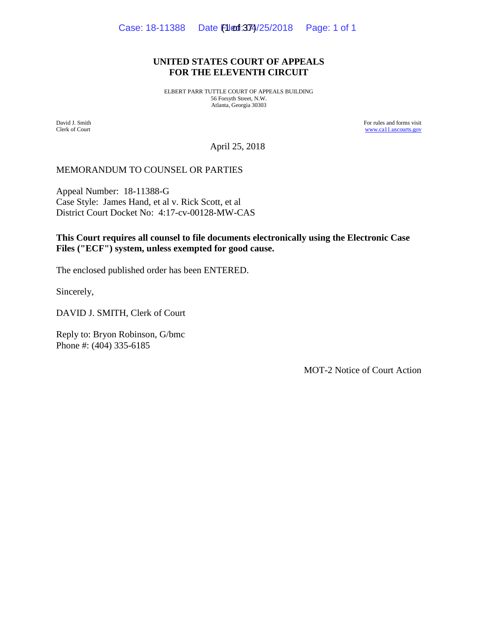### **UNITED STATES COURT OF APPEALS FOR THE ELEVENTH CIRCUIT**

ELBERT PARR TUTTLE COURT OF APPEALS BUILDING 56 Forsyth Street, N.W. Atlanta, Georgia 30303

David J. Smith Clerk of Court For rules and forms visit [www.ca11.uscourts.gov](http://www.ca11.uscourts.gov/)

April 25, 2018

## MEMORANDUM TO COUNSEL OR PARTIES

Appeal Number: 18-11388-G Case Style: James Hand, et al v. Rick Scott, et al District Court Docket No: 4:17-cv-00128-MW-CAS

# **This Court requires all counsel to file documents electronically using the Electronic Case Files ("ECF") system, unless exempted for good cause.**

The enclosed published order has been ENTERED.

Sincerely,

DAVID J. SMITH, Clerk of Court

Reply to: Bryon Robinson, G/bmc Phone #: (404) 335-6185

MOT-2 Notice of Court Action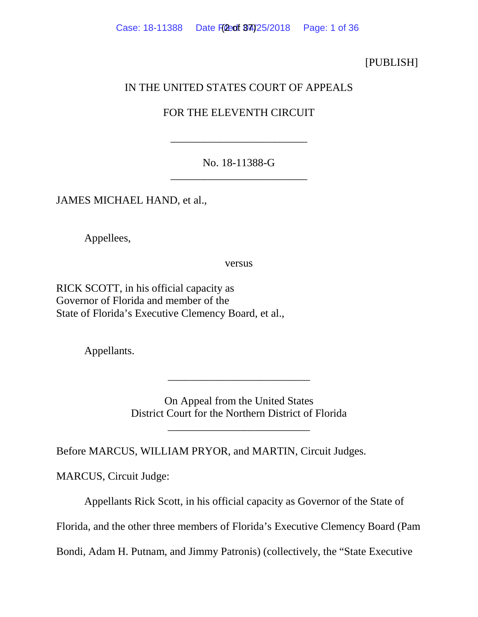# [PUBLISH]

# IN THE UNITED STATES COURT OF APPEALS

# FOR THE ELEVENTH CIRCUIT

\_\_\_\_\_\_\_\_\_\_\_\_\_\_\_\_\_\_\_\_\_\_\_\_\_

# No. 18-11388-G \_\_\_\_\_\_\_\_\_\_\_\_\_\_\_\_\_\_\_\_\_\_\_\_\_

JAMES MICHAEL HAND, et al.,

Appellees,

versus

RICK SCOTT, in his official capacity as Governor of Florida and member of the State of Florida's Executive Clemency Board, et al.,

Appellants.

On Appeal from the United States District Court for the Northern District of Florida

\_\_\_\_\_\_\_\_\_\_\_\_\_\_\_\_\_\_\_\_\_\_\_\_\_\_

\_\_\_\_\_\_\_\_\_\_\_\_\_\_\_\_\_\_\_\_\_\_\_\_\_\_

Before MARCUS, WILLIAM PRYOR, and MARTIN, Circuit Judges.

MARCUS, Circuit Judge:

Appellants Rick Scott, in his official capacity as Governor of the State of

Florida, and the other three members of Florida's Executive Clemency Board (Pam

Bondi, Adam H. Putnam, and Jimmy Patronis) (collectively, the "State Executive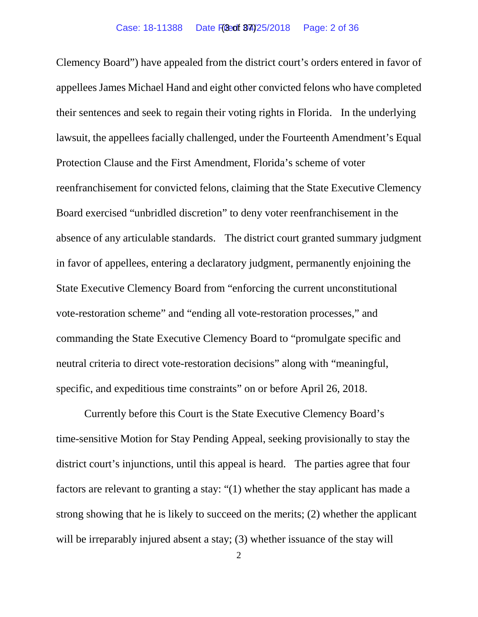Clemency Board") have appealed from the district court's orders entered in favor of appellees James Michael Hand and eight other convicted felons who have completed their sentences and seek to regain their voting rights in Florida. In the underlying lawsuit, the appellees facially challenged, under the Fourteenth Amendment's Equal Protection Clause and the First Amendment, Florida's scheme of voter reenfranchisement for convicted felons, claiming that the State Executive Clemency Board exercised "unbridled discretion" to deny voter reenfranchisement in the absence of any articulable standards. The district court granted summary judgment in favor of appellees, entering a declaratory judgment, permanently enjoining the State Executive Clemency Board from "enforcing the current unconstitutional vote-restoration scheme" and "ending all vote-restoration processes," and commanding the State Executive Clemency Board to "promulgate specific and neutral criteria to direct vote-restoration decisions" along with "meaningful, specific, and expeditious time constraints" on or before April 26, 2018.

Currently before this Court is the State Executive Clemency Board's time-sensitive Motion for Stay Pending Appeal, seeking provisionally to stay the district court's injunctions, until this appeal is heard. The parties agree that four factors are relevant to granting a stay: "(1) whether the stay applicant has made a strong showing that he is likely to succeed on the merits; (2) whether the applicant will be irreparably injured absent a stay; (3) whether issuance of the stay will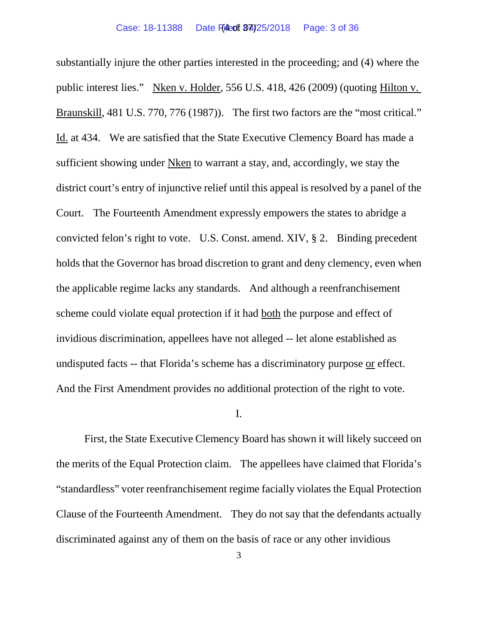substantially injure the other parties interested in the proceeding; and (4) where the public interest lies." Nken v. Holder, 556 U.S. 418, 426 (2009) (quoting Hilton v. Braunskill, 481 U.S. 770, 776 (1987)). The first two factors are the "most critical." Id. at 434. We are satisfied that the State Executive Clemency Board has made a sufficient showing under Nken to warrant a stay, and, accordingly, we stay the district court's entry of injunctive relief until this appeal is resolved by a panel of the Court.The Fourteenth Amendment expressly empowers the states to abridge a convicted felon's right to vote. U.S. Const. amend. XIV, § 2. Binding precedent holds that the Governor has broad discretion to grant and deny clemency, even when the applicable regime lacks any standards. And although a reenfranchisement scheme could violate equal protection if it had both the purpose and effect of invidious discrimination, appellees have not alleged -- let alone established as undisputed facts -- that Florida's scheme has a discriminatory purpose or effect. And the First Amendment provides no additional protection of the right to vote.

### I.

First, the State Executive Clemency Board has shown it will likely succeed on the merits of the Equal Protection claim. The appellees have claimed that Florida's "standardless" voter reenfranchisement regime facially violates the Equal Protection Clause of the Fourteenth Amendment. They do not say that the defendants actually discriminated against any of them on the basis of race or any other invidious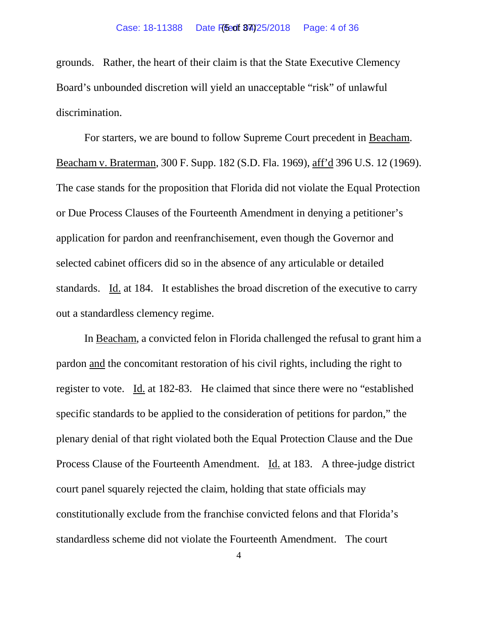grounds. Rather, the heart of their claim is that the State Executive Clemency Board's unbounded discretion will yield an unacceptable "risk" of unlawful discrimination.

For starters, we are bound to follow Supreme Court precedent in Beacham. Beacham v. Braterman, 300 F. Supp. 182 (S.D. Fla. 1969), aff'd 396 U.S. 12 (1969). The case stands for the proposition that Florida did not violate the Equal Protection or Due Process Clauses of the Fourteenth Amendment in denying a petitioner's application for pardon and reenfranchisement, even though the Governor and selected cabinet officers did so in the absence of any articulable or detailed standards. Id. at 184. It establishes the broad discretion of the executive to carry out a standardless clemency regime.

In Beacham, a convicted felon in Florida challenged the refusal to grant him a pardon and the concomitant restoration of his civil rights, including the right to register to vote. Id. at 182-83. He claimed that since there were no "established specific standards to be applied to the consideration of petitions for pardon," the plenary denial of that right violated both the Equal Protection Clause and the Due Process Clause of the Fourteenth Amendment. Id. at 183. A three-judge district court panel squarely rejected the claim, holding that state officials may constitutionally exclude from the franchise convicted felons and that Florida's standardless scheme did not violate the Fourteenth Amendment. The court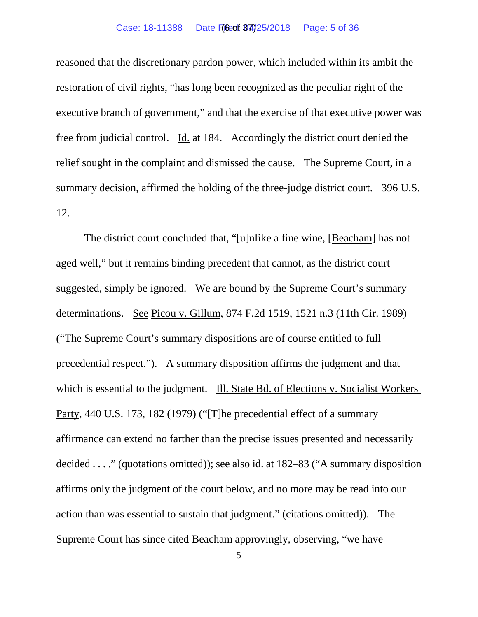### Case: 18-11388 Date Filed: 04/25/2018 Page: 5 of 36

reasoned that the discretionary pardon power, which included within its ambit the restoration of civil rights, "has long been recognized as the peculiar right of the executive branch of government," and that the exercise of that executive power was free from judicial control. Id. at 184. Accordingly the district court denied the relief sought in the complaint and dismissed the cause. The Supreme Court, in a summary decision, affirmed the holding of the three-judge district court. 396 U.S. 12.

The district court concluded that, "[u]nlike a fine wine, [Beacham] has not aged well," but it remains binding precedent that cannot, as the district court suggested, simply be ignored. We are bound by the Supreme Court's summary determinations. See Picou v. Gillum, 874 F.2d 1519, 1521 n.3 (11th Cir. 1989) ("The Supreme Court's summary dispositions are of course entitled to full precedential respect."). A summary disposition affirms the judgment and that which is essential to the judgment. Ill. State Bd. of Elections v. Socialist Workers Party, 440 U.S. 173, 182 (1979) ("[T]he precedential effect of a summary affirmance can extend no farther than the precise issues presented and necessarily decided . . . ." (quotations omitted)); see also id. at 182–83 ("A summary disposition affirms only the judgment of the court below, and no more may be read into our action than was essential to sustain that judgment." (citations omitted)). The Supreme Court has since cited Beacham approvingly, observing, "we have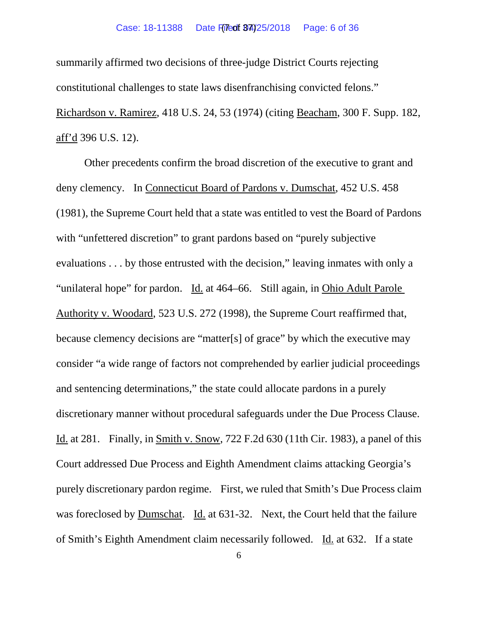#### Case: 18-11388 Date Filed: 04/25/2018 Page: 6 of 36

summarily affirmed two decisions of three-judge District Courts rejecting constitutional challenges to state laws disenfranchising convicted felons." Richardson v. Ramirez, 418 U.S. 24, 53 (1974) (citing Beacham, 300 F. Supp. 182, aff'd 396 U.S. 12).

Other precedents confirm the broad discretion of the executive to grant and deny clemency. In Connecticut Board of Pardons v. Dumschat, 452 U.S. 458 (1981), the Supreme Court held that a state was entitled to vest the Board of Pardons with "unfettered discretion" to grant pardons based on "purely subjective" evaluations . . . by those entrusted with the decision," leaving inmates with only a "unilateral hope" for pardon. Id. at 464–66. Still again, in Ohio Adult Parole Authority v. Woodard, 523 U.S. 272 (1998), the Supreme Court reaffirmed that, because clemency decisions are "matter[s] of grace" by which the executive may consider "a wide range of factors not comprehended by earlier judicial proceedings and sentencing determinations," the state could allocate pardons in a purely discretionary manner without procedural safeguards under the Due Process Clause. Id. at 281. Finally, in Smith v. Snow, 722 F.2d 630 (11th Cir. 1983), a panel of this Court addressed Due Process and Eighth Amendment claims attacking Georgia's purely discretionary pardon regime. First, we ruled that Smith's Due Process claim was foreclosed by Dumschat. Id. at 631-32. Next, the Court held that the failure of Smith's Eighth Amendment claim necessarily followed. Id. at 632. If a state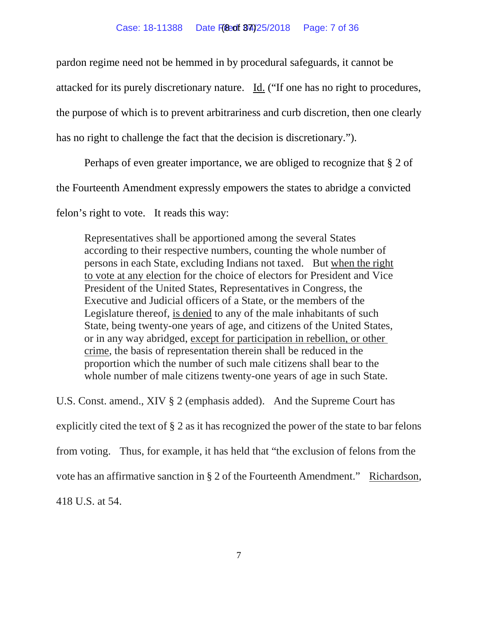pardon regime need not be hemmed in by procedural safeguards, it cannot be

attacked for its purely discretionary nature. Id. ("If one has no right to procedures,

the purpose of which is to prevent arbitrariness and curb discretion, then one clearly

has no right to challenge the fact that the decision is discretionary.").

Perhaps of even greater importance, we are obliged to recognize that § 2 of

the Fourteenth Amendment expressly empowers the states to abridge a convicted

felon's right to vote. It reads this way:

Representatives shall be apportioned among the several States according to their respective numbers, counting the whole number of persons in each State, excluding Indians not taxed. But when the right to vote at any election for the choice of electors for President and Vice President of the United States, Representatives in Congress, the Executive and Judicial officers of a State, or the members of the Legislature thereof, is denied to any of the male inhabitants of such State, being twenty-one years of age, and citizens of the United States, or in any way abridged, except for participation in rebellion, or other crime, the basis of representation therein shall be reduced in the proportion which the number of such male citizens shall bear to the whole number of male citizens twenty-one years of age in such State.

U.S. Const. amend., XIV § 2 (emphasis added). And the Supreme Court has explicitly cited the text of § 2 as it has recognized the power of the state to bar felons from voting. Thus, for example, it has held that "the exclusion of felons from the vote has an affirmative sanction in § 2 of the Fourteenth Amendment." Richardson, 418 U.S. at 54.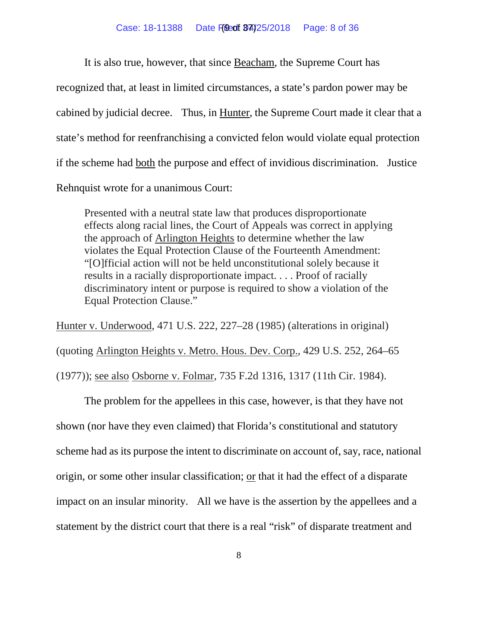It is also true, however, that since Beacham, the Supreme Court has recognized that, at least in limited circumstances, a state's pardon power may be cabined by judicial decree. Thus, in Hunter, the Supreme Court made it clear that a state's method for reenfranchising a convicted felon would violate equal protection if the scheme had both the purpose and effect of invidious discrimination. Justice Rehnquist wrote for a unanimous Court:

Presented with a neutral state law that produces disproportionate effects along racial lines, the Court of Appeals was correct in applying the approach of Arlington Heights to determine whether the law violates the Equal Protection Clause of the Fourteenth Amendment: "[O]fficial action will not be held unconstitutional solely because it results in a racially disproportionate impact. . . . Proof of racially discriminatory intent or purpose is required to show a violation of the Equal Protection Clause."

Hunter v. Underwood, 471 U.S. 222, 227–28 (1985) (alterations in original)

(quoting Arlington Heights v. Metro. Hous. Dev. Corp., 429 U.S. 252, 264–65

(1977)); see also Osborne v. Folmar, 735 F.2d 1316, 1317 (11th Cir. 1984).

The problem for the appellees in this case, however, is that they have not shown (nor have they even claimed) that Florida's constitutional and statutory scheme had as its purpose the intent to discriminate on account of, say, race, national origin, or some other insular classification; or that it had the effect of a disparate impact on an insular minority. All we have is the assertion by the appellees and a statement by the district court that there is a real "risk" of disparate treatment and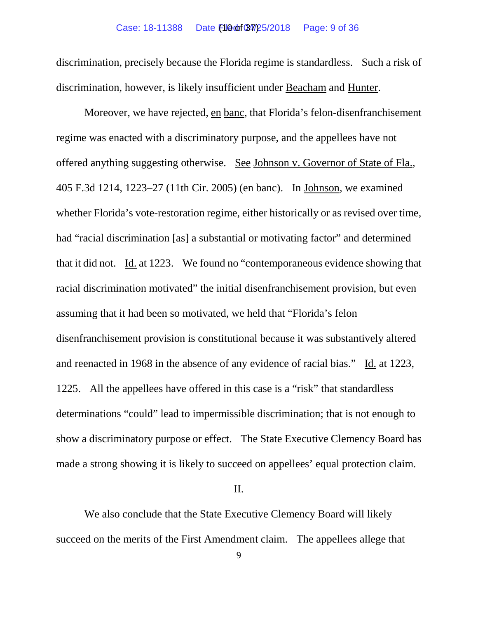### Case: 18-11388 Date **F10 of 34/25/2018** Page: 9 of 36

discrimination, precisely because the Florida regime is standardless. Such a risk of discrimination, however, is likely insufficient under Beacham and Hunter.

Moreover, we have rejected, en banc, that Florida's felon-disenfranchisement regime was enacted with a discriminatory purpose, and the appellees have not offered anything suggesting otherwise. See Johnson v. Governor of State of Fla., 405 F.3d 1214, 1223–27 (11th Cir. 2005) (en banc). In Johnson, we examined whether Florida's vote-restoration regime, either historically or as revised over time, had "racial discrimination [as] a substantial or motivating factor" and determined that it did not. Id. at 1223. We found no "contemporaneous evidence showing that racial discrimination motivated" the initial disenfranchisement provision, but even assuming that it had been so motivated, we held that "Florida's felon disenfranchisement provision is constitutional because it was substantively altered and reenacted in 1968 in the absence of any evidence of racial bias." Id. at 1223, 1225. All the appellees have offered in this case is a "risk" that standardless determinations "could" lead to impermissible discrimination; that is not enough to show a discriminatory purpose or effect. The State Executive Clemency Board has made a strong showing it is likely to succeed on appellees' equal protection claim.

### II.

We also conclude that the State Executive Clemency Board will likely succeed on the merits of the First Amendment claim. The appellees allege that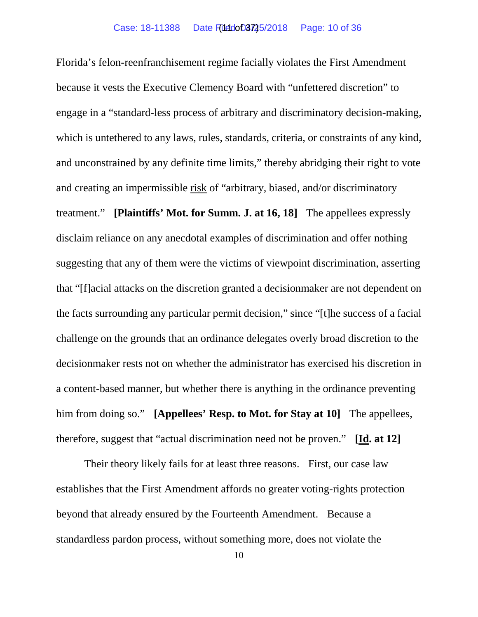Florida's felon-reenfranchisement regime facially violates the First Amendment because it vests the Executive Clemency Board with "unfettered discretion" to engage in a "standard-less process of arbitrary and discriminatory decision-making, which is untethered to any laws, rules, standards, criteria, or constraints of any kind, and unconstrained by any definite time limits," thereby abridging their right to vote and creating an impermissible risk of "arbitrary, biased, and/or discriminatory treatment." **[Plaintiffs' Mot. for Summ. J. at 16, 18]** The appellees expressly disclaim reliance on any anecdotal examples of discrimination and offer nothing suggesting that any of them were the victims of viewpoint discrimination, asserting that "[f]acial attacks on the discretion granted a decisionmaker are not dependent on the facts surrounding any particular permit decision," since "[t]he success of a facial challenge on the grounds that an ordinance delegates overly broad discretion to the decisionmaker rests not on whether the administrator has exercised his discretion in a content-based manner, but whether there is anything in the ordinance preventing him from doing so." **[Appellees' Resp. to Mot. for Stay at 10]** The appellees, therefore, suggest that "actual discrimination need not be proven." **[Id. at 12]**

Their theory likely fails for at least three reasons. First, our case law establishes that the First Amendment affords no greater voting-rights protection beyond that already ensured by the Fourteenth Amendment. Because a standardless pardon process, without something more, does not violate the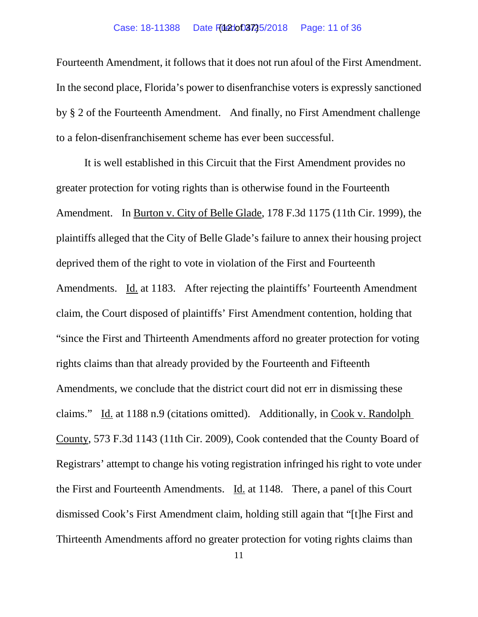### Case: 18-11388 Date Filed: 052725/2018 Page: 11 of 36

Fourteenth Amendment, it follows that it does not run afoul of the First Amendment. In the second place, Florida's power to disenfranchise voters is expressly sanctioned by § 2 of the Fourteenth Amendment. And finally, no First Amendment challenge to a felon-disenfranchisement scheme has ever been successful.

It is well established in this Circuit that the First Amendment provides no greater protection for voting rights than is otherwise found in the Fourteenth Amendment. In Burton v. City of Belle Glade, 178 F.3d 1175 (11th Cir. 1999), the plaintiffs alleged that the City of Belle Glade's failure to annex their housing project deprived them of the right to vote in violation of the First and Fourteenth Amendments. Id. at 1183. After rejecting the plaintiffs' Fourteenth Amendment claim, the Court disposed of plaintiffs' First Amendment contention, holding that "since the First and Thirteenth Amendments afford no greater protection for voting rights claims than that already provided by the Fourteenth and Fifteenth Amendments, we conclude that the district court did not err in dismissing these claims." Id. at 1188 n.9 (citations omitted). Additionally, in Cook v. Randolph County, 573 F.3d 1143 (11th Cir. 2009), Cook contended that the County Board of Registrars' attempt to change his voting registration infringed his right to vote under the First and Fourteenth Amendments. Id. at 1148. There, a panel of this Court dismissed Cook's First Amendment claim, holding still again that "[t]he First and Thirteenth Amendments afford no greater protection for voting rights claims than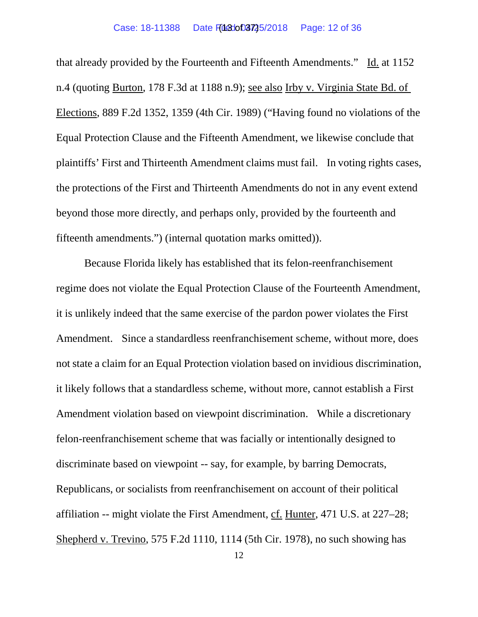that already provided by the Fourteenth and Fifteenth Amendments." Id. at 1152 n.4 (quoting Burton, 178 F.3d at 1188 n.9); see also Irby v. Virginia State Bd. of Elections, 889 F.2d 1352, 1359 (4th Cir. 1989) ("Having found no violations of the Equal Protection Clause and the Fifteenth Amendment, we likewise conclude that plaintiffs' First and Thirteenth Amendment claims must fail. In voting rights cases, the protections of the First and Thirteenth Amendments do not in any event extend beyond those more directly, and perhaps only, provided by the fourteenth and fifteenth amendments.") (internal quotation marks omitted)).

Because Florida likely has established that its felon-reenfranchisement regime does not violate the Equal Protection Clause of the Fourteenth Amendment, it is unlikely indeed that the same exercise of the pardon power violates the First Amendment. Since a standardless reenfranchisement scheme, without more, does not state a claim for an Equal Protection violation based on invidious discrimination, it likely follows that a standardless scheme, without more, cannot establish a First Amendment violation based on viewpoint discrimination. While a discretionary felon-reenfranchisement scheme that was facially or intentionally designed to discriminate based on viewpoint -- say, for example, by barring Democrats, Republicans, or socialists from reenfranchisement on account of their political affiliation -- might violate the First Amendment, cf. Hunter, 471 U.S. at 227–28; Shepherd v. Trevino, 575 F.2d 1110, 1114 (5th Cir. 1978), no such showing has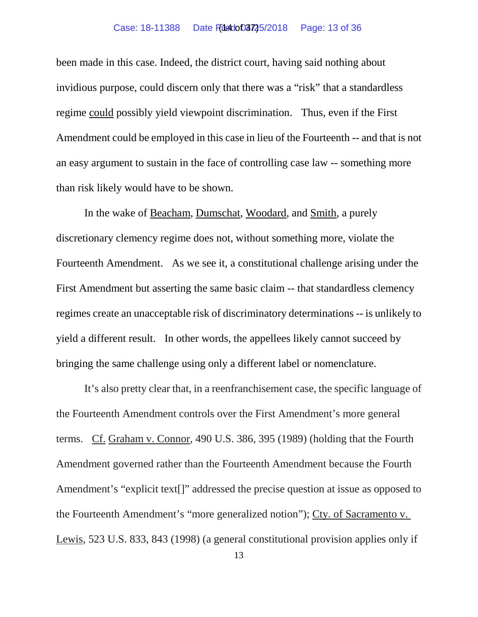### Case: 18-11388 Date Filed: 002725/2018 Page: 13 of 36

been made in this case. Indeed, the district court, having said nothing about invidious purpose, could discern only that there was a "risk" that a standardless regime could possibly yield viewpoint discrimination. Thus, even if the First Amendment could be employed in this case in lieu of the Fourteenth -- and that is not an easy argument to sustain in the face of controlling case law -- something more than risk likely would have to be shown.

In the wake of Beacham, Dumschat, Woodard, and Smith, a purely discretionary clemency regime does not, without something more, violate the Fourteenth Amendment. As we see it, a constitutional challenge arising under the First Amendment but asserting the same basic claim -- that standardless clemency regimes create an unacceptable risk of discriminatory determinations -- is unlikely to yield a different result. In other words, the appellees likely cannot succeed by bringing the same challenge using only a different label or nomenclature.

It's also pretty clear that, in a reenfranchisement case, the specific language of the Fourteenth Amendment controls over the First Amendment's more general terms. Cf. Graham v. Connor, 490 U.S. 386, 395 (1989) (holding that the Fourth Amendment governed rather than the Fourteenth Amendment because the Fourth Amendment's "explicit text[]" addressed the precise question at issue as opposed to the Fourteenth Amendment's "more generalized notion"); Cty. of Sacramento v. Lewis, 523 U.S. 833, 843 (1998) (a general constitutional provision applies only if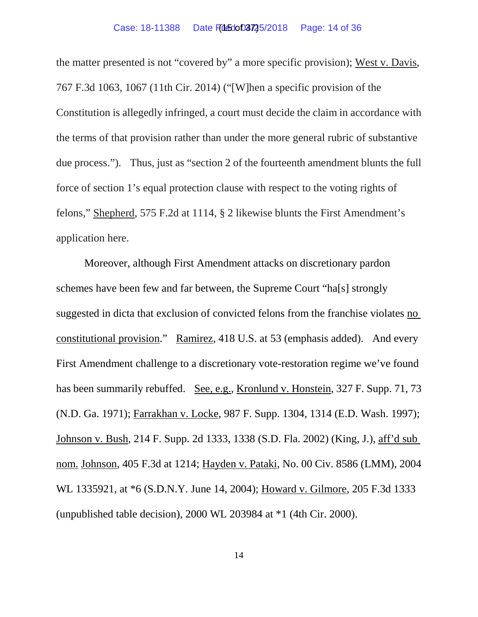the matter presented is not "covered by" a more specific provision); West v. Davis, 767 F.3d 1063, 1067 (11th Cir. 2014) ("[W]hen a specific provision of the Constitution is allegedly infringed, a court must decide the claim in accordance with the terms of that provision rather than under the more general rubric of substantive due process."). Thus, just as "section 2 of the fourteenth amendment blunts the full force of section 1's equal protection clause with respect to the voting rights of felons," Shepherd, 575 F.2d at 1114, § 2 likewise blunts the First Amendment's application here.

Moreover, although First Amendment attacks on discretionary pardon schemes have been few and far between, the Supreme Court "ha[s] strongly suggested in dicta that exclusion of convicted felons from the franchise violates no constitutional provision." Ramirez, 418 U.S. at 53 (emphasis added). And every First Amendment challenge to a discretionary vote-restoration regime we've found has been summarily rebuffed. See, e.g., Kronlund v. Honstein, 327 F. Supp. 71, 73 (N.D. Ga. 1971); Farrakhan v. Locke, 987 F. Supp. 1304, 1314 (E.D. Wash. 1997); Johnson v. Bush, 214 F. Supp. 2d 1333, 1338 (S.D. Fla. 2002) (King, J.), aff'd sub nom. Johnson, 405 F.3d at 1214; Hayden v. Pataki, No. 00 Civ. 8586 (LMM), 2004 WL 1335921, at \*6 (S.D.N.Y. June 14, 2004); Howard v. Gilmore, 205 F.3d 1333 (unpublished table decision), 2000 WL 203984 at \*1 (4th Cir. 2000).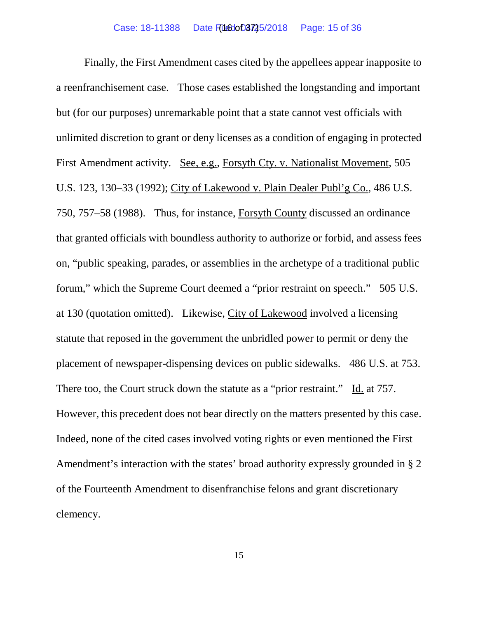Finally, the First Amendment cases cited by the appellees appear inapposite to a reenfranchisement case. Those cases established the longstanding and important but (for our purposes) unremarkable point that a state cannot vest officials with unlimited discretion to grant or deny licenses as a condition of engaging in protected First Amendment activity. See, e.g., Forsyth Cty. v. Nationalist Movement, 505 U.S. 123, 130–33 (1992); City of Lakewood v. Plain Dealer Publ'g Co., 486 U.S. 750, 757–58 (1988). Thus, for instance, Forsyth County discussed an ordinance that granted officials with boundless authority to authorize or forbid, and assess fees on, "public speaking, parades, or assemblies in the archetype of a traditional public forum," which the Supreme Court deemed a "prior restraint on speech." 505 U.S. at 130 (quotation omitted). Likewise, City of Lakewood involved a licensing statute that reposed in the government the unbridled power to permit or deny the placement of newspaper-dispensing devices on public sidewalks. 486 U.S. at 753. There too, the Court struck down the statute as a "prior restraint." Id. at 757. However, this precedent does not bear directly on the matters presented by this case. Indeed, none of the cited cases involved voting rights or even mentioned the First Amendment's interaction with the states' broad authority expressly grounded in § 2 of the Fourteenth Amendment to disenfranchise felons and grant discretionary clemency.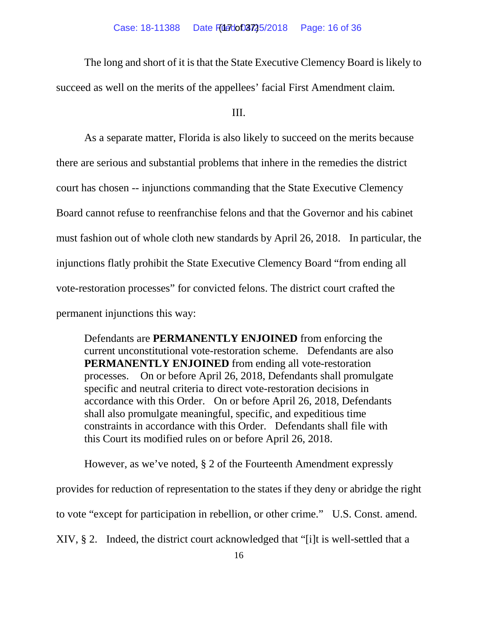The long and short of it is that the State Executive Clemency Board is likely to succeed as well on the merits of the appellees' facial First Amendment claim.

III.

As a separate matter, Florida is also likely to succeed on the merits because there are serious and substantial problems that inhere in the remedies the district court has chosen -- injunctions commanding that the State Executive Clemency Board cannot refuse to reenfranchise felons and that the Governor and his cabinet must fashion out of whole cloth new standards by April 26, 2018. In particular, the injunctions flatly prohibit the State Executive Clemency Board "from ending all vote-restoration processes" for convicted felons. The district court crafted the permanent injunctions this way:

Defendants are **PERMANENTLY ENJOINED** from enforcing the current unconstitutional vote-restoration scheme. Defendants are also **PERMANENTLY ENJOINED** from ending all vote-restoration processes. On or before April 26, 2018, Defendants shall promulgate specific and neutral criteria to direct vote-restoration decisions in accordance with this Order. On or before April 26, 2018, Defendants shall also promulgate meaningful, specific, and expeditious time constraints in accordance with this Order. Defendants shall file with this Court its modified rules on or before April 26, 2018.

However, as we've noted, § 2 of the Fourteenth Amendment expressly

provides for reduction of representation to the states if they deny or abridge the right

to vote "except for participation in rebellion, or other crime." U.S. Const. amend.

XIV, § 2. Indeed, the district court acknowledged that "[i]t is well-settled that a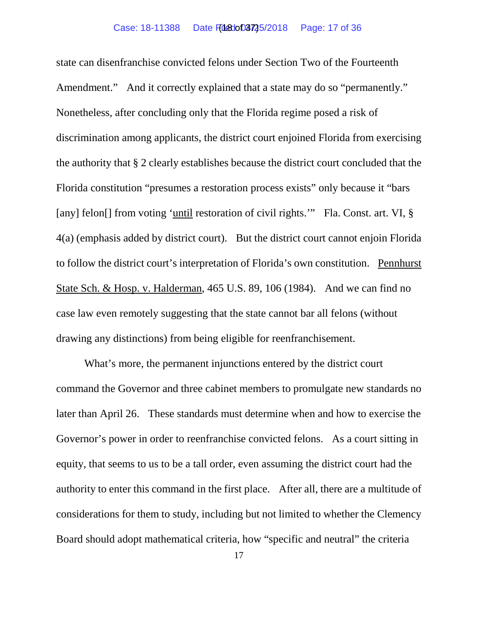state can disenfranchise convicted felons under Section Two of the Fourteenth Amendment." And it correctly explained that a state may do so "permanently." Nonetheless, after concluding only that the Florida regime posed a risk of discrimination among applicants, the district court enjoined Florida from exercising the authority that § 2 clearly establishes because the district court concluded that the Florida constitution "presumes a restoration process exists" only because it "bars [any] felon<sup>[]</sup> from voting 'until restoration of civil rights.'" Fla. Const. art. VI, § 4(a) (emphasis added by district court). But the district court cannot enjoin Florida to follow the district court's interpretation of Florida's own constitution. Pennhurst State Sch. & Hosp. v. Halderman, 465 U.S. 89, 106 (1984). And we can find no case law even remotely suggesting that the state cannot bar all felons (without drawing any distinctions) from being eligible for reenfranchisement.

What's more, the permanent injunctions entered by the district court command the Governor and three cabinet members to promulgate new standards no later than April 26. These standards must determine when and how to exercise the Governor's power in order to reenfranchise convicted felons. As a court sitting in equity, that seems to us to be a tall order, even assuming the district court had the authority to enter this command in the first place. After all, there are a multitude of considerations for them to study, including but not limited to whether the Clemency Board should adopt mathematical criteria, how "specific and neutral" the criteria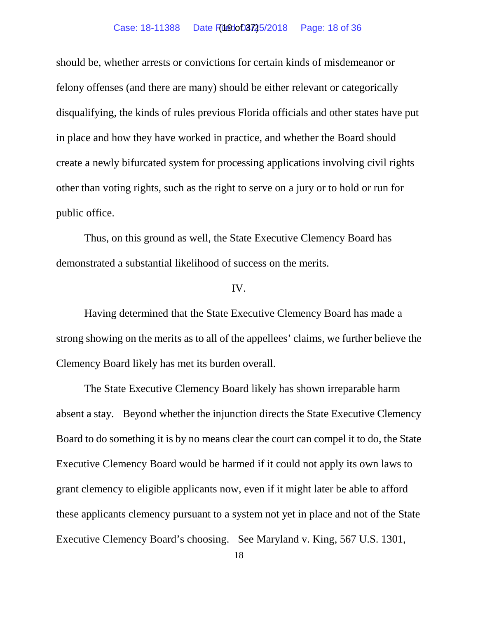# Case: 18-11388 Date Filedot 02725/2018 Page: 18 of 36

should be, whether arrests or convictions for certain kinds of misdemeanor or felony offenses (and there are many) should be either relevant or categorically disqualifying, the kinds of rules previous Florida officials and other states have put in place and how they have worked in practice, and whether the Board should create a newly bifurcated system for processing applications involving civil rights other than voting rights, such as the right to serve on a jury or to hold or run for public office.

Thus, on this ground as well, the State Executive Clemency Board has demonstrated a substantial likelihood of success on the merits.

# IV.

Having determined that the State Executive Clemency Board has made a strong showing on the merits as to all of the appellees' claims, we further believe the Clemency Board likely has met its burden overall.

The State Executive Clemency Board likely has shown irreparable harm absent a stay. Beyond whether the injunction directs the State Executive Clemency Board to do something it is by no means clear the court can compel it to do, the State Executive Clemency Board would be harmed if it could not apply its own laws to grant clemency to eligible applicants now, even if it might later be able to afford these applicants clemency pursuant to a system not yet in place and not of the State Executive Clemency Board's choosing. See Maryland v. King, 567 U.S. 1301,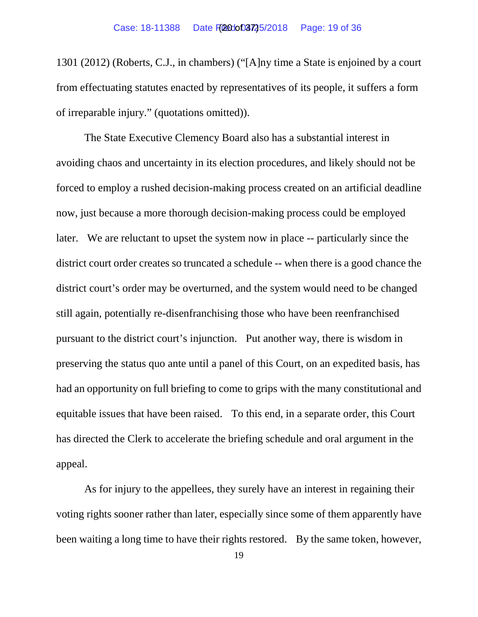1301 (2012) (Roberts, C.J., in chambers) ("[A]ny time a State is enjoined by a court from effectuating statutes enacted by representatives of its people, it suffers a form of irreparable injury." (quotations omitted)).

The State Executive Clemency Board also has a substantial interest in avoiding chaos and uncertainty in its election procedures, and likely should not be forced to employ a rushed decision-making process created on an artificial deadline now, just because a more thorough decision-making process could be employed later. We are reluctant to upset the system now in place -- particularly since the district court order creates so truncated a schedule -- when there is a good chance the district court's order may be overturned, and the system would need to be changed still again, potentially re-disenfranchising those who have been reenfranchised pursuant to the district court's injunction. Put another way, there is wisdom in preserving the status quo ante until a panel of this Court, on an expedited basis, has had an opportunity on full briefing to come to grips with the many constitutional and equitable issues that have been raised. To this end, in a separate order, this Court has directed the Clerk to accelerate the briefing schedule and oral argument in the appeal.

As for injury to the appellees, they surely have an interest in regaining their voting rights sooner rather than later, especially since some of them apparently have been waiting a long time to have their rights restored. By the same token, however,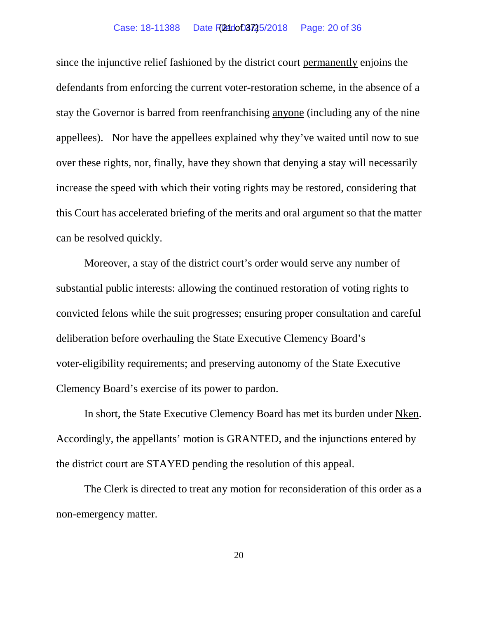#### Case: 18-11388 Date Filed: 05725/2018 Page: 20 of 36

since the injunctive relief fashioned by the district court permanently enjoins the defendants from enforcing the current voter-restoration scheme, in the absence of a stay the Governor is barred from reenfranchising anyone (including any of the nine appellees). Nor have the appellees explained why they've waited until now to sue over these rights, nor, finally, have they shown that denying a stay will necessarily increase the speed with which their voting rights may be restored, considering that this Court has accelerated briefing of the merits and oral argument so that the matter can be resolved quickly.

Moreover, a stay of the district court's order would serve any number of substantial public interests: allowing the continued restoration of voting rights to convicted felons while the suit progresses; ensuring proper consultation and careful deliberation before overhauling the State Executive Clemency Board's voter-eligibility requirements; and preserving autonomy of the State Executive Clemency Board's exercise of its power to pardon.

In short, the State Executive Clemency Board has met its burden under Nken. Accordingly, the appellants' motion is GRANTED, and the injunctions entered by the district court are STAYED pending the resolution of this appeal.

The Clerk is directed to treat any motion for reconsideration of this order as a non-emergency matter.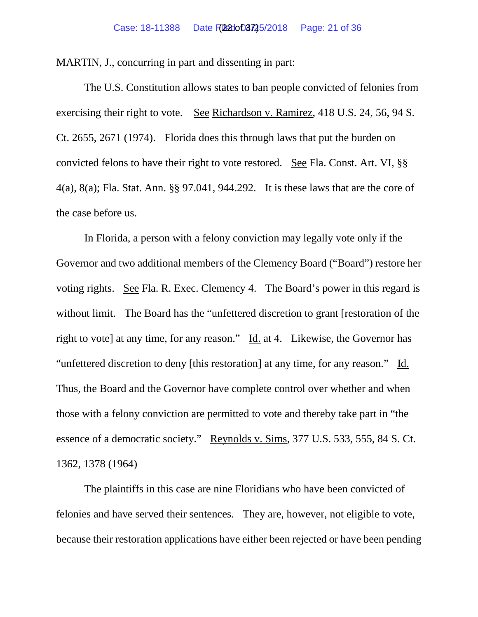MARTIN, J., concurring in part and dissenting in part:

The U.S. Constitution allows states to ban people convicted of felonies from exercising their right to vote. See Richardson v. Ramirez, 418 U.S. 24, 56, 94 S. Ct. 2655, 2671 (1974). Florida does this through laws that put the burden on convicted felons to have their right to vote restored. See Fla. Const. Art. VI, §§ 4(a), 8(a); Fla. Stat. Ann. §§ 97.041, 944.292. It is these laws that are the core of the case before us.

In Florida, a person with a felony conviction may legally vote only if the Governor and two additional members of the Clemency Board ("Board") restore her voting rights. See Fla. R. Exec. Clemency 4. The Board's power in this regard is without limit. The Board has the "unfettered discretion to grant [restoration of the right to vote] at any time, for any reason." Id. at 4. Likewise, the Governor has "unfettered discretion to deny [this restoration] at any time, for any reason." Id. Thus, the Board and the Governor have complete control over whether and when those with a felony conviction are permitted to vote and thereby take part in "the essence of a democratic society." Reynolds v. Sims, 377 U.S. 533, 555, 84 S. Ct. 1362, 1378 (1964)

The plaintiffs in this case are nine Floridians who have been convicted of felonies and have served their sentences. They are, however, not eligible to vote, because their restoration applications have either been rejected or have been pending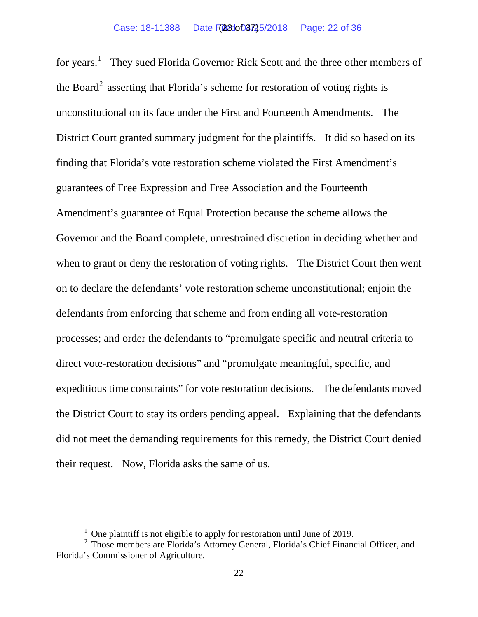for years.<sup>[1](#page-22-0)</sup> They sued Florida Governor Rick Scott and the three other members of the Board<sup>[2](#page-22-1)</sup> asserting that Florida's scheme for restoration of voting rights is unconstitutional on its face under the First and Fourteenth Amendments. The District Court granted summary judgment for the plaintiffs. It did so based on its finding that Florida's vote restoration scheme violated the First Amendment's guarantees of Free Expression and Free Association and the Fourteenth Amendment's guarantee of Equal Protection because the scheme allows the Governor and the Board complete, unrestrained discretion in deciding whether and when to grant or deny the restoration of voting rights. The District Court then went on to declare the defendants' vote restoration scheme unconstitutional; enjoin the defendants from enforcing that scheme and from ending all vote-restoration processes; and order the defendants to "promulgate specific and neutral criteria to direct vote-restoration decisions" and "promulgate meaningful, specific, and expeditious time constraints" for vote restoration decisions. The defendants moved the District Court to stay its orders pending appeal. Explaining that the defendants did not meet the demanding requirements for this remedy, the District Court denied their request. Now, Florida asks the same of us.

 $1$  One plaintiff is not eligible to apply for restoration until June of 2019.

<span id="page-22-1"></span><span id="page-22-0"></span><sup>2</sup> Those members are Florida's Attorney General, Florida's Chief Financial Officer, and Florida's Commissioner of Agriculture.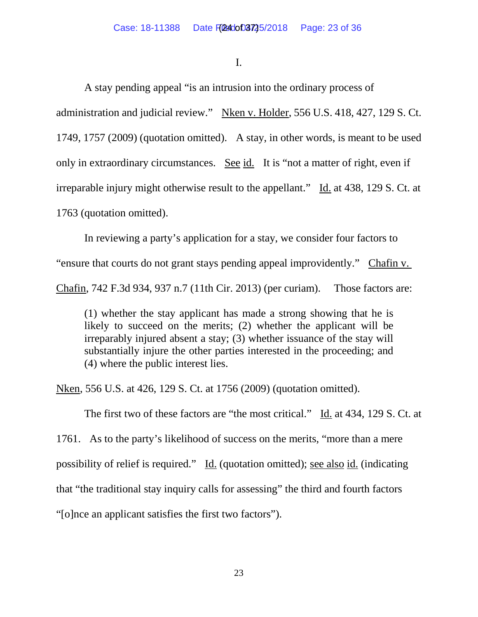I.

A stay pending appeal "is an intrusion into the ordinary process of administration and judicial review." Nken v. Holder, 556 U.S. 418, 427, 129 S. Ct. 1749, 1757 (2009) (quotation omitted). A stay, in other words, is meant to be used only in extraordinary circumstances. See id. It is "not a matter of right, even if irreparable injury might otherwise result to the appellant." Id. at 438, 129 S. Ct. at 1763 (quotation omitted).

In reviewing a party's application for a stay, we consider four factors to "ensure that courts do not grant stays pending appeal improvidently." Chafin v. Chafin, 742 F.3d 934, 937 n.7 (11th Cir. 2013) (per curiam). Those factors are:

(1) whether the stay applicant has made a strong showing that he is likely to succeed on the merits; (2) whether the applicant will be irreparably injured absent a stay; (3) whether issuance of the stay will substantially injure the other parties interested in the proceeding; and (4) where the public interest lies.

Nken, 556 U.S. at 426, 129 S. Ct. at 1756 (2009) (quotation omitted).

The first two of these factors are "the most critical." Id. at 434, 129 S. Ct. at

1761. As to the party's likelihood of success on the merits, "more than a mere possibility of relief is required." Id. (quotation omitted); see also id. (indicating that "the traditional stay inquiry calls for assessing" the third and fourth factors "[o]nce an applicant satisfies the first two factors").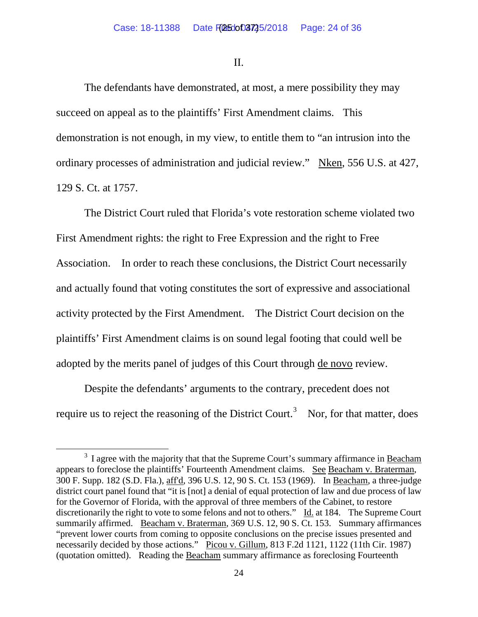II.

The defendants have demonstrated, at most, a mere possibility they may succeed on appeal as to the plaintiffs' First Amendment claims. This demonstration is not enough, in my view, to entitle them to "an intrusion into the ordinary processes of administration and judicial review." Nken, 556 U.S. at 427, 129 S. Ct. at 1757.

The District Court ruled that Florida's vote restoration scheme violated two First Amendment rights: the right to Free Expression and the right to Free Association. In order to reach these conclusions, the District Court necessarily and actually found that voting constitutes the sort of expressive and associational activity protected by the First Amendment. The District Court decision on the plaintiffs' First Amendment claims is on sound legal footing that could well be adopted by the merits panel of judges of this Court through de novo review.

Despite the defendants' arguments to the contrary, precedent does not require us to reject the reasoning of the District Court.<sup>[3](#page-24-0)</sup> Nor, for that matter, does

<span id="page-24-0"></span> $3$  I agree with the majority that that the Supreme Court's summary affirmance in Beacham appears to foreclose the plaintiffs' Fourteenth Amendment claims. See Beacham v. Braterman, 300 F. Supp. 182 (S.D. Fla.), aff'd, 396 U.S. 12, 90 S. Ct. 153 (1969). In Beacham, a three-judge district court panel found that "it is [not] a denial of equal protection of law and due process of law for the Governor of Florida, with the approval of three members of the Cabinet, to restore discretionarily the right to vote to some felons and not to others." Id. at 184. The Supreme Court summarily affirmed. Beacham v. Braterman, 369 U.S. 12, 90 S. Ct. 153. Summary affirmances "prevent lower courts from coming to opposite conclusions on the precise issues presented and necessarily decided by those actions." Picou v. Gillum, 813 F.2d 1121, 1122 (11th Cir. 1987) (quotation omitted). Reading the Beacham summary affirmance as foreclosing Fourteenth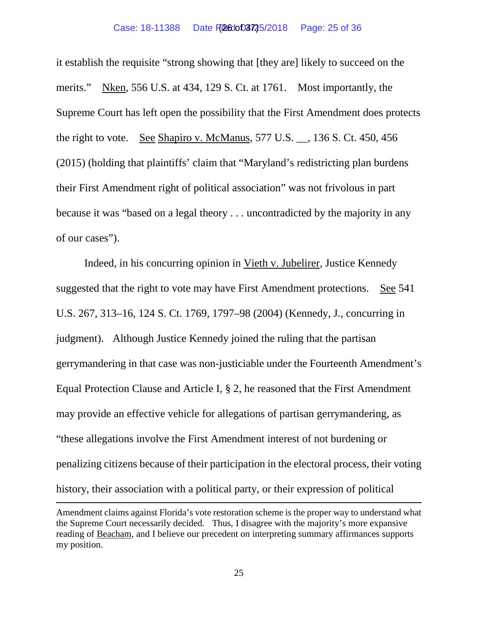it establish the requisite "strong showing that [they are] likely to succeed on the merits." Nken, 556 U.S. at 434, 129 S. Ct. at 1761. Most importantly, the Supreme Court has left open the possibility that the First Amendment does protects the right to vote. See Shapiro v. McManus, 577 U.S. \_\_, 136 S. Ct. 450, 456 (2015) (holding that plaintiffs' claim that "Maryland's redistricting plan burdens their First Amendment right of political association" was not frivolous in part because it was "based on a legal theory . . . uncontradicted by the majority in any of our cases").

Indeed, in his concurring opinion in Vieth v. Jubelirer, Justice Kennedy suggested that the right to vote may have First Amendment protections. See 541 U.S. 267, 313–16, 124 S. Ct. 1769, 1797–98 (2004) (Kennedy, J., concurring in judgment). Although Justice Kennedy joined the ruling that the partisan gerrymandering in that case was non-justiciable under the Fourteenth Amendment's Equal Protection Clause and Article I, § 2, he reasoned that the First Amendment may provide an effective vehicle for allegations of partisan gerrymandering, as "these allegations involve the First Amendment interest of not burdening or penalizing citizens because of their participation in the electoral process, their voting history, their association with a political party, or their expression of political

 $\overline{a}$ 

Amendment claims against Florida's vote restoration scheme is the proper way to understand what the Supreme Court necessarily decided. Thus, I disagree with the majority's more expansive reading of Beacham, and I believe our precedent on interpreting summary affirmances supports my position.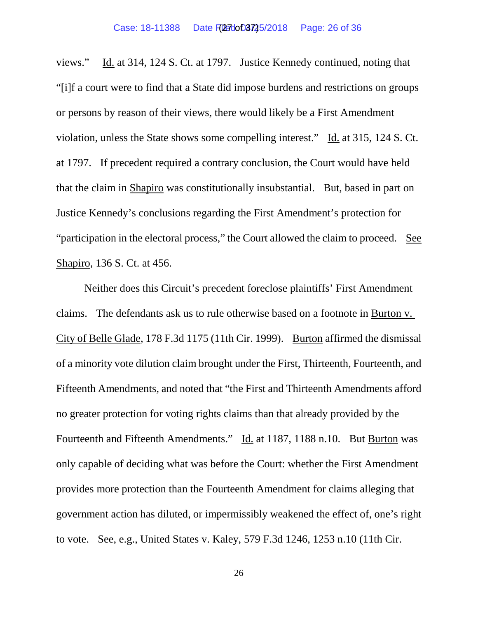views." Id. at 314, 124 S. Ct. at 1797. Justice Kennedy continued, noting that "[i]f a court were to find that a State did impose burdens and restrictions on groups or persons by reason of their views, there would likely be a First Amendment violation, unless the State shows some compelling interest." Id. at 315, 124 S. Ct. at 1797. If precedent required a contrary conclusion, the Court would have held that the claim in Shapiro was constitutionally insubstantial. But, based in part on Justice Kennedy's conclusions regarding the First Amendment's protection for "participation in the electoral process," the Court allowed the claim to proceed. See Shapiro, 136 S. Ct. at 456.

Neither does this Circuit's precedent foreclose plaintiffs' First Amendment claims. The defendants ask us to rule otherwise based on a footnote in Burton v. City of Belle Glade, 178 F.3d 1175 (11th Cir. 1999). Burton affirmed the dismissal of a minority vote dilution claim brought under the First, Thirteenth, Fourteenth, and Fifteenth Amendments, and noted that "the First and Thirteenth Amendments afford no greater protection for voting rights claims than that already provided by the Fourteenth and Fifteenth Amendments." Id. at 1187, 1188 n.10. But Burton was only capable of deciding what was before the Court: whether the First Amendment provides more protection than the Fourteenth Amendment for claims alleging that government action has diluted, or impermissibly weakened the effect of, one's right to vote. See, e.g., United States v. Kaley, 579 F.3d 1246, 1253 n.10 (11th Cir.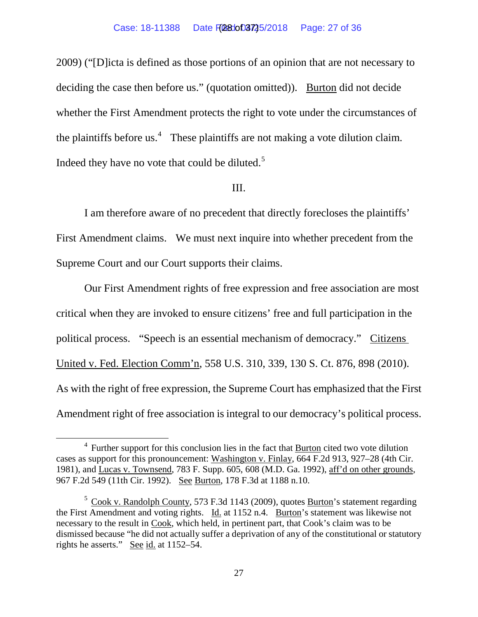2009) ("[D]icta is defined as those portions of an opinion that are not necessary to deciding the case then before us." (quotation omitted)). Burton did not decide whether the First Amendment protects the right to vote under the circumstances of the plaintiffs before us.<sup>[4](#page-27-0)</sup> These plaintiffs are not making a vote dilution claim. Indeed they have no vote that could be diluted.<sup>[5](#page-27-1)</sup>

### III.

I am therefore aware of no precedent that directly forecloses the plaintiffs' First Amendment claims. We must next inquire into whether precedent from the Supreme Court and our Court supports their claims.

Our First Amendment rights of free expression and free association are most critical when they are invoked to ensure citizens' free and full participation in the political process. "Speech is an essential mechanism of democracy." Citizens United v. Fed. Election Comm'n, 558 U.S. 310, 339, 130 S. Ct. 876, 898 (2010). As with the right of free expression, the Supreme Court has emphasized that the First Amendment right of free association is integral to our democracy's political process.

<span id="page-27-0"></span> $4$  Further support for this conclusion lies in the fact that  $\frac{Burton}{Burton}$  cited two vote dilution cases as support for this pronouncement: Washington v. Finlay, 664 F.2d 913, 927–28 (4th Cir. 1981), and Lucas v. Townsend, 783 F. Supp. 605, 608 (M.D. Ga. 1992), aff'd on other grounds, 967 F.2d 549 (11th Cir. 1992). See Burton, 178 F.3d at 1188 n.10.

<span id="page-27-1"></span> $5$  Cook v. Randolph County, 573 F.3d 1143 (2009), quotes **Burton**'s statement regarding the First Amendment and voting rights. Id. at 1152 n.4. Burton's statement was likewise not necessary to the result in Cook, which held, in pertinent part, that Cook's claim was to be dismissed because "he did not actually suffer a deprivation of any of the constitutional or statutory rights he asserts." See id. at 1152–54.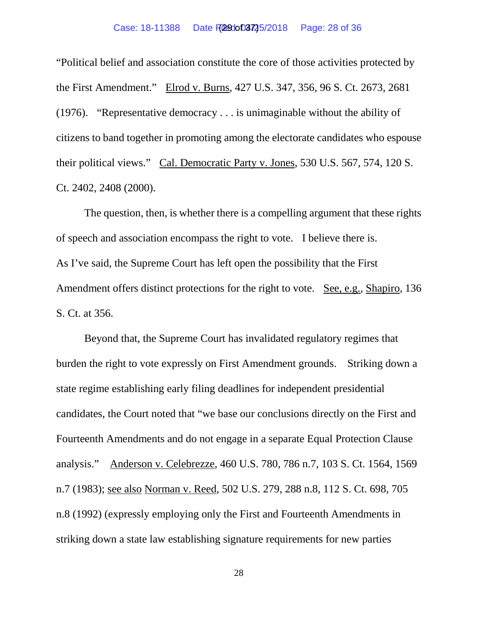"Political belief and association constitute the core of those activities protected by the First Amendment." Elrod v. Burns, 427 U.S. 347, 356, 96 S. Ct. 2673, 2681 (1976). "Representative democracy . . . is unimaginable without the ability of citizens to band together in promoting among the electorate candidates who espouse their political views." Cal. Democratic Party v. Jones, 530 U.S. 567, 574, 120 S. Ct. 2402, 2408 (2000).

The question, then, is whether there is a compelling argument that these rights of speech and association encompass the right to vote. I believe there is. As I've said, the Supreme Court has left open the possibility that the First Amendment offers distinct protections for the right to vote. See, e.g., Shapiro, 136 S. Ct. at 356.

Beyond that, the Supreme Court has invalidated regulatory regimes that burden the right to vote expressly on First Amendment grounds. Striking down a state regime establishing early filing deadlines for independent presidential candidates, the Court noted that "we base our conclusions directly on the First and Fourteenth Amendments and do not engage in a separate Equal Protection Clause analysis." Anderson v. Celebrezze, 460 U.S. 780, 786 n.7, 103 S. Ct. 1564, 1569 n.7 (1983); see also Norman v. Reed, 502 U.S. 279, 288 n.8, 112 S. Ct. 698, 705 n.8 (1992) (expressly employing only the First and Fourteenth Amendments in striking down a state law establishing signature requirements for new parties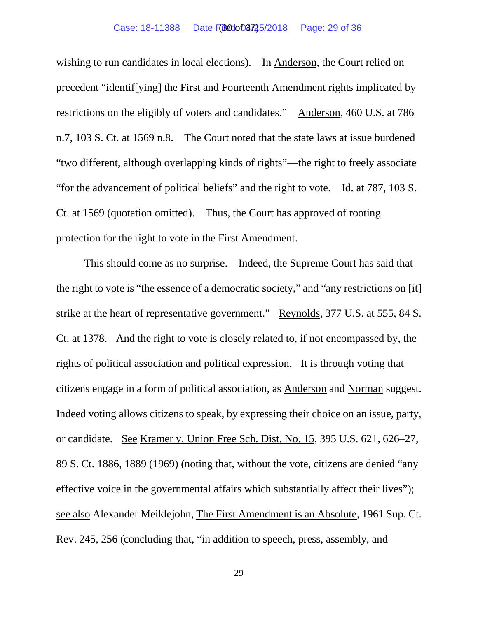### Case: 18-11388 Date F(300003725/2018 Page: 29 of 36

wishing to run candidates in local elections). In Anderson, the Court relied on precedent "identif[ying] the First and Fourteenth Amendment rights implicated by restrictions on the eligibly of voters and candidates." Anderson, 460 U.S. at 786 n.7, 103 S. Ct. at 1569 n.8. The Court noted that the state laws at issue burdened "two different, although overlapping kinds of rights"—the right to freely associate "for the advancement of political beliefs" and the right to vote. Id. at 787, 103 S. Ct. at 1569 (quotation omitted). Thus, the Court has approved of rooting protection for the right to vote in the First Amendment.

This should come as no surprise. Indeed, the Supreme Court has said that the right to vote is "the essence of a democratic society," and "any restrictions on [it] strike at the heart of representative government." Reynolds, 377 U.S. at 555, 84 S. Ct. at 1378. And the right to vote is closely related to, if not encompassed by, the rights of political association and political expression. It is through voting that citizens engage in a form of political association, as Anderson and Norman suggest. Indeed voting allows citizens to speak, by expressing their choice on an issue, party, or candidate. See Kramer v. Union Free Sch. Dist. No. 15, 395 U.S. 621, 626–27, 89 S. Ct. 1886, 1889 (1969) (noting that, without the vote, citizens are denied "any effective voice in the governmental affairs which substantially affect their lives"); see also Alexander Meiklejohn, The First Amendment is an Absolute, 1961 Sup. Ct. Rev. 245, 256 (concluding that, "in addition to speech, press, assembly, and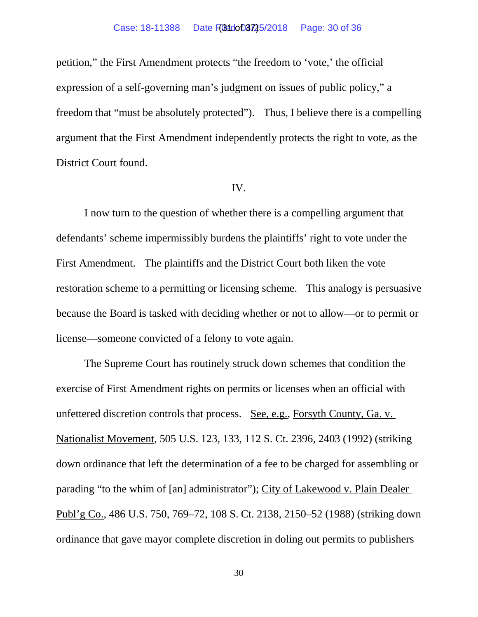# Case: 18-11388 Date FG84dof03725/2018 Page: 30 of 36

petition," the First Amendment protects "the freedom to 'vote,' the official expression of a self-governing man's judgment on issues of public policy," a freedom that "must be absolutely protected"). Thus, I believe there is a compelling argument that the First Amendment independently protects the right to vote, as the District Court found.

### IV.

I now turn to the question of whether there is a compelling argument that defendants' scheme impermissibly burdens the plaintiffs' right to vote under the First Amendment. The plaintiffs and the District Court both liken the vote restoration scheme to a permitting or licensing scheme. This analogy is persuasive because the Board is tasked with deciding whether or not to allow—or to permit or license—someone convicted of a felony to vote again.

The Supreme Court has routinely struck down schemes that condition the exercise of First Amendment rights on permits or licenses when an official with unfettered discretion controls that process. See, e.g., Forsyth County, Ga. v. Nationalist Movement, 505 U.S. 123, 133, 112 S. Ct. 2396, 2403 (1992) (striking down ordinance that left the determination of a fee to be charged for assembling or parading "to the whim of [an] administrator"); City of Lakewood v. Plain Dealer Publ'g Co., 486 U.S. 750, 769–72, 108 S. Ct. 2138, 2150–52 (1988) (striking down ordinance that gave mayor complete discretion in doling out permits to publishers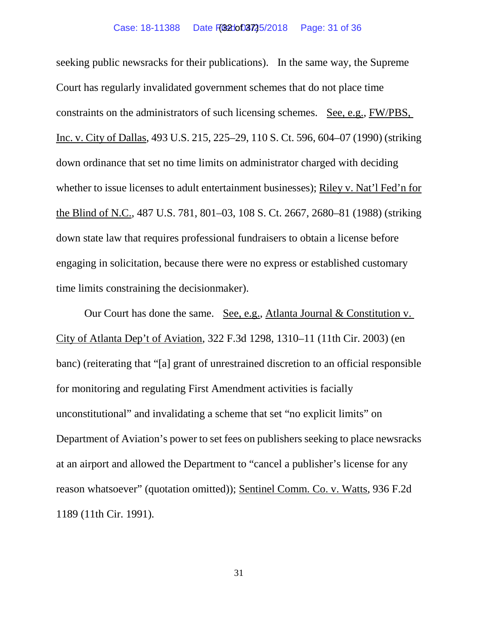#### Case: 18-11388 Date F(321003725/2018 Page: 31 of 36

seeking public newsracks for their publications). In the same way, the Supreme Court has regularly invalidated government schemes that do not place time constraints on the administrators of such licensing schemes. See, e.g., FW/PBS, Inc. v. City of Dallas, 493 U.S. 215, 225–29, 110 S. Ct. 596, 604–07 (1990) (striking down ordinance that set no time limits on administrator charged with deciding whether to issue licenses to adult entertainment businesses); Riley v. Nat'l Fed'n for the Blind of N.C., 487 U.S. 781, 801–03, 108 S. Ct. 2667, 2680–81 (1988) (striking down state law that requires professional fundraisers to obtain a license before engaging in solicitation, because there were no express or established customary time limits constraining the decisionmaker).

Our Court has done the same. See, e.g., Atlanta Journal & Constitution v. City of Atlanta Dep't of Aviation, 322 F.3d 1298, 1310–11 (11th Cir. 2003) (en banc) (reiterating that "[a] grant of unrestrained discretion to an official responsible for monitoring and regulating First Amendment activities is facially unconstitutional" and invalidating a scheme that set "no explicit limits" on Department of Aviation's power to set fees on publishers seeking to place newsracks at an airport and allowed the Department to "cancel a publisher's license for any reason whatsoever" (quotation omitted)); Sentinel Comm. Co. v. Watts, 936 F.2d 1189 (11th Cir. 1991).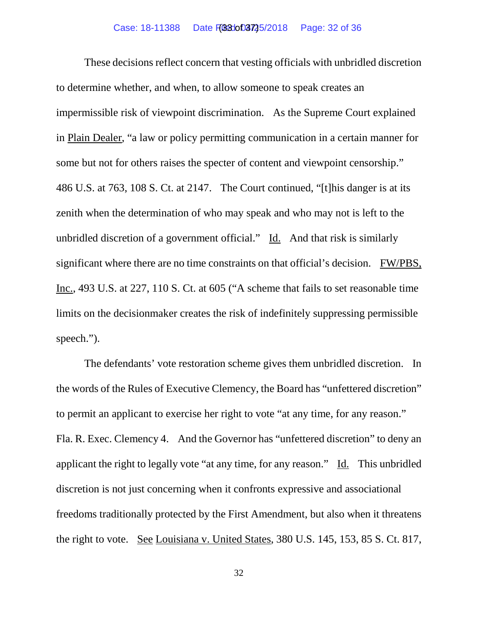### Case: 18-11388 Date F(030003725/2018 Page: 32 of 36

These decisions reflect concern that vesting officials with unbridled discretion to determine whether, and when, to allow someone to speak creates an impermissible risk of viewpoint discrimination. As the Supreme Court explained in Plain Dealer, "a law or policy permitting communication in a certain manner for some but not for others raises the specter of content and viewpoint censorship." 486 U.S. at 763, 108 S. Ct. at 2147. The Court continued, "[t]his danger is at its zenith when the determination of who may speak and who may not is left to the unbridled discretion of a government official." Id. And that risk is similarly significant where there are no time constraints on that official's decision. FW/PBS, Inc., 493 U.S. at 227, 110 S. Ct. at 605 ("A scheme that fails to set reasonable time limits on the decisionmaker creates the risk of indefinitely suppressing permissible speech.").

The defendants' vote restoration scheme gives them unbridled discretion. In the words of the Rules of Executive Clemency, the Board has "unfettered discretion" to permit an applicant to exercise her right to vote "at any time, for any reason." Fla. R. Exec. Clemency 4. And the Governor has "unfettered discretion" to deny an applicant the right to legally vote "at any time, for any reason." Id. This unbridled discretion is not just concerning when it confronts expressive and associational freedoms traditionally protected by the First Amendment, but also when it threatens the right to vote. See Louisiana v. United States, 380 U.S. 145, 153, 85 S. Ct. 817,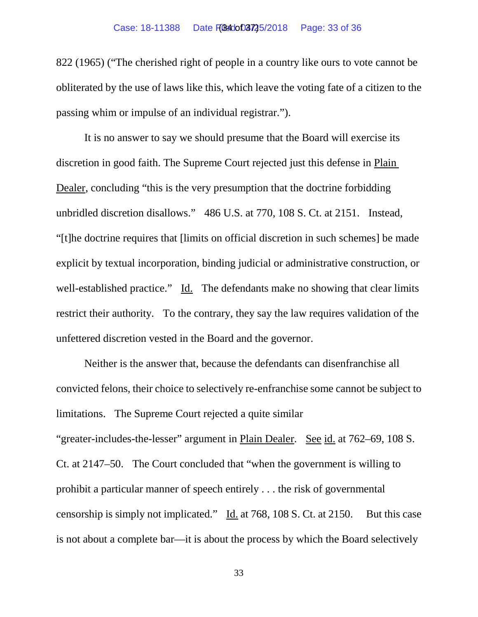### Case: 18-11388 Date F(Bedot) 3725/2018 Page: 33 of 36

822 (1965) ("The cherished right of people in a country like ours to vote cannot be obliterated by the use of laws like this, which leave the voting fate of a citizen to the passing whim or impulse of an individual registrar.").

It is no answer to say we should presume that the Board will exercise its discretion in good faith. The Supreme Court rejected just this defense in Plain Dealer, concluding "this is the very presumption that the doctrine forbidding unbridled discretion disallows." 486 U.S. at 770, 108 S. Ct. at 2151. Instead, "[t]he doctrine requires that [limits on official discretion in such schemes] be made explicit by textual incorporation, binding judicial or administrative construction, or well-established practice." Id. The defendants make no showing that clear limits restrict their authority. To the contrary, they say the law requires validation of the unfettered discretion vested in the Board and the governor.

Neither is the answer that, because the defendants can disenfranchise all convicted felons, their choice to selectively re-enfranchise some cannot be subject to limitations. The Supreme Court rejected a quite similar "greater-includes-the-lesser" argument in Plain Dealer. See id. at 762–69, 108 S. Ct. at 2147–50. The Court concluded that "when the government is willing to prohibit a particular manner of speech entirely . . . the risk of governmental censorship is simply not implicated." Id. at 768, 108 S. Ct. at 2150. But this case is not about a complete bar—it is about the process by which the Board selectively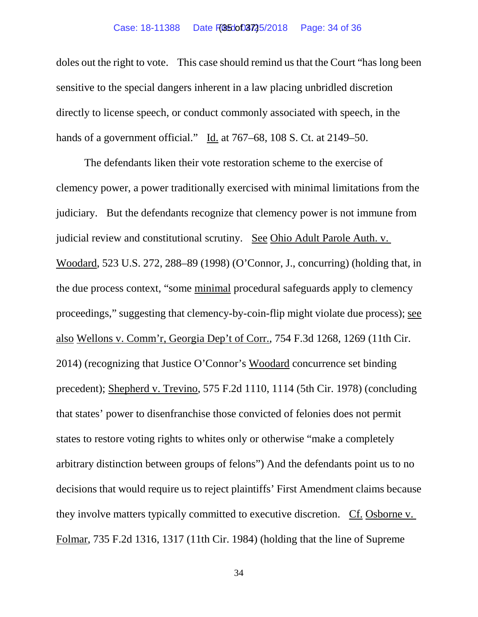### Case: 18-11388 Date F(050003725/2018 Page: 34 of 36

doles out the right to vote. This case should remind us that the Court "has long been sensitive to the special dangers inherent in a law placing unbridled discretion directly to license speech, or conduct commonly associated with speech, in the hands of a government official." Id. at 767–68, 108 S. Ct. at 2149–50.

The defendants liken their vote restoration scheme to the exercise of clemency power, a power traditionally exercised with minimal limitations from the judiciary. But the defendants recognize that clemency power is not immune from judicial review and constitutional scrutiny. See Ohio Adult Parole Auth. v. Woodard, 523 U.S. 272, 288–89 (1998) (O'Connor, J., concurring) (holding that, in the due process context, "some minimal procedural safeguards apply to clemency proceedings," suggesting that clemency-by-coin-flip might violate due process); see also Wellons v. Comm'r, Georgia Dep't of Corr., 754 F.3d 1268, 1269 (11th Cir. 2014) (recognizing that Justice O'Connor's Woodard concurrence set binding precedent); Shepherd v. Trevino, 575 F.2d 1110, 1114 (5th Cir. 1978) (concluding that states' power to disenfranchise those convicted of felonies does not permit states to restore voting rights to whites only or otherwise "make a completely arbitrary distinction between groups of felons") And the defendants point us to no decisions that would require us to reject plaintiffs' First Amendment claims because they involve matters typically committed to executive discretion. Cf. Osborne v. Folmar, 735 F.2d 1316, 1317 (11th Cir. 1984) (holding that the line of Supreme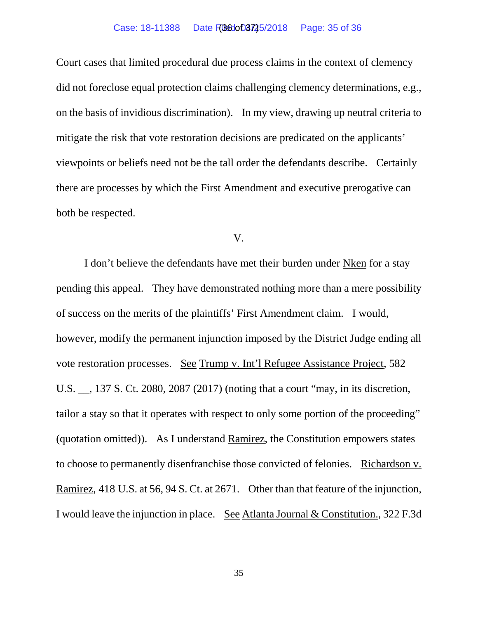#### Case: 18-11388 Date FBGdot03725/2018 Page: 35 of 36

Court cases that limited procedural due process claims in the context of clemency did not foreclose equal protection claims challenging clemency determinations, e.g., on the basis of invidious discrimination). In my view, drawing up neutral criteria to mitigate the risk that vote restoration decisions are predicated on the applicants' viewpoints or beliefs need not be the tall order the defendants describe. Certainly there are processes by which the First Amendment and executive prerogative can both be respected.

### V.

I don't believe the defendants have met their burden under Nken for a stay pending this appeal. They have demonstrated nothing more than a mere possibility of success on the merits of the plaintiffs' First Amendment claim. I would, however, modify the permanent injunction imposed by the District Judge ending all vote restoration processes. See Trump v. Int'l Refugee Assistance Project, 582 U.S. \_\_, 137 S. Ct. 2080, 2087 (2017) (noting that a court "may, in its discretion, tailor a stay so that it operates with respect to only some portion of the proceeding" (quotation omitted)). As I understand Ramirez, the Constitution empowers states to choose to permanently disenfranchise those convicted of felonies. Richardson v. Ramirez, 418 U.S. at 56, 94 S. Ct. at 2671. Other than that feature of the injunction, I would leave the injunction in place. See Atlanta Journal & Constitution., 322 F.3d